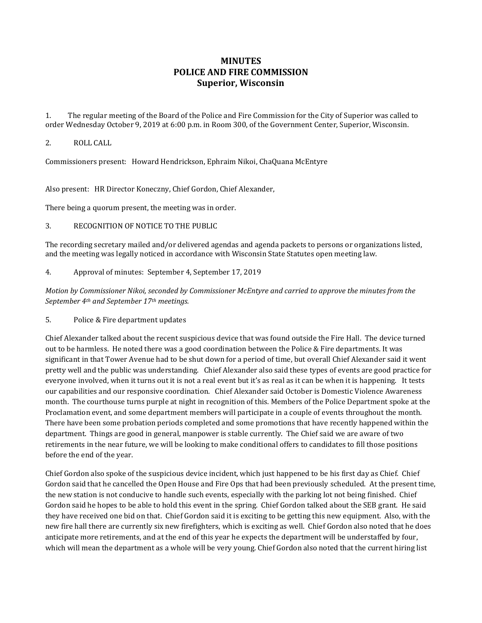## **MINUTES POLICE AND FIRE COMMISSION Superior, Wisconsin**

1. The regular meeting of the Board of the Police and Fire Commission for the City of Superior was called to order Wednesday October 9, 2019 at 6:00 p.m. in Room 300, of the Government Center, Superior, Wisconsin.

## 2. ROLL CALL

Commissioners present: Howard Hendrickson, Ephraim Nikoi, ChaQuana McEntyre

Also present: HR Director Koneczny, Chief Gordon, Chief Alexander,

There being a quorum present, the meeting was in order.

3. RECOGNITION OF NOTICE TO THE PUBLIC

The recording secretary mailed and/or delivered agendas and agenda packets to persons or organizations listed, and the meeting was legally noticed in accordance with Wisconsin State Statutes open meeting law.

4. Approval of minutes: September 4, September 17, 2019

*Motion by Commissioner Nikoi, seconded by Commissioner McEntyre and carried to approve the minutes from the September 4th and September 17th meetings.* 

5. Police & Fire department updates

Chief Alexander talked about the recent suspicious device that was found outside the Fire Hall. The device turned out to be harmless. He noted there was a good coordination between the Police & Fire departments. It was significant in that Tower Avenue had to be shut down for a period of time, but overall Chief Alexander said it went pretty well and the public was understanding. Chief Alexander also said these types of events are good practice for everyone involved, when it turns out it is not a real event but it's as real as it can be when it is happening. It tests our capabilities and our responsive coordination. Chief Alexander said October is Domestic Violence Awareness month. The courthouse turns purple at night in recognition of this. Members of the Police Department spoke at the Proclamation event, and some department members will participate in a couple of events throughout the month. There have been some probation periods completed and some promotions that have recently happened within the department. Things are good in general, manpower is stable currently. The Chief said we are aware of two retirements in the near future, we will be looking to make conditional offers to candidates to fill those positions before the end of the year.

Chief Gordon also spoke of the suspicious device incident, which just happened to be his first day as Chief. Chief Gordon said that he cancelled the Open House and Fire Ops that had been previously scheduled. At the present time, the new station is not conducive to handle such events, especially with the parking lot not being finished. Chief Gordon said he hopes to be able to hold this event in the spring. Chief Gordon talked about the SEB grant. He said they have received one bid on that. Chief Gordon said it is exciting to be getting this new equipment. Also, with the new fire hall there are currently six new firefighters, which is exciting as well. Chief Gordon also noted that he does anticipate more retirements, and at the end of this year he expects the department will be understaffed by four, which will mean the department as a whole will be very young. Chief Gordon also noted that the current hiring list